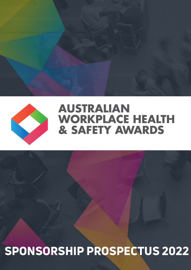# SPONSORSHIP PROSPECTUS 2022



## **AUSTRALIAN WORKPLACE HEALTH** & SAFETY AWARDS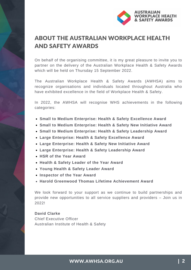

### ABOUT THE AUSTRALIAN WORKPLACE HEALTH AND SAFETY AWARDS

On behalf of the organising committee, it is my great pleasure to invite you to partner on the delivery of the Australian Workplace Health & Safety Awards which will be held on Thursday 15 September 2022.

The Australian Workplace Health & Safety Awards (AWHSA) aims to recognize organisations and individuals located throughout Australia who have exhibited excellence in the field of Workplace Health & Safety.

In 2022, the AWHSA will recognise WHS achievements in the following categories:

- **Small to Medium Enterprise: Health & Safety Excellence Award**
- **Small to Medium Enterprise: Health & Safety New Initiative Award**
- **Small to Medium Enterprise: Health & Safety Leadership Award**
- **Large Enterprise: Health & Safety Excellence Award**
- **Large Enterprise: Health & Safety New Initiative Award**
- **Large Enterprise: Health & Safety Leadership Award**
- **HSR of the Year Award**
- **Health & Safety Leader of the Year Award**
- **Young Health & Safety Leader Award**
- **Inspector of the Year Award**
- **Harold Greenwood Thomas Lifetime Achievement Award**

We look forward to your support as we continue to build partnerships and provide new opportunities to all service suppliers and providers – Join us in 2022!

**David Clarke** Chief Executive Officer Australian Institute of Health & Safety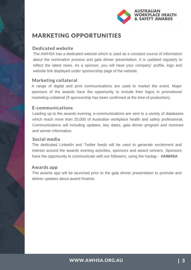

### MARKETING OPPORTUNITIES

### **Dedicated website**

The AWHSA has a dedicated website which is used as a constant source of information about the nomination process and gala dinner presentation. It is updated regularly to reflect the latest news. As a sponsor, you will have your company' profile, logo and website link displayed under sponsorship page of the website.

### **Marketing collateral**

A range of digital and print communications are used to market the event. Major sponsors of the awards have the opportunity to include their logos in promotional marketing collateral (if sponsorship has been confirmed at the time of production).

### **E-communications**

Leading up to the awards evening, e-communications are sent to a variety of databases which reach more than 20,000 of Australian workplace health and safety professional. Communications will including updates, key dates, gala dinner program and nominee and winner information.

### **Social media**

The dedicated LinkedIn and Twitter feeds will be used to generate excitement and interest around the awards evening activities, sponsors and award winners. Sponsors have the opportunity to communicate with our followers, using the hastag - **#AWHSA**

### **Awards app**

The awards app will be launched prior to the gala dinner presentation to promote and deliver updates about award finalists.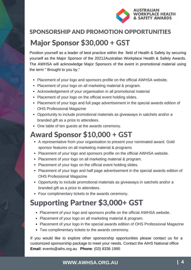

## Major Sponsor \$30,000 + GST SPONSORSHIP AND PROMOTION OPPORTUNITIES

Position yourself as a leader of best practice within the field of Health & Safety by securing yourself as the Major Sponsor of the 20212Australian Workplace Health & Safety Awards. The AWHSA will acknowledge Major Sponsors of the event in promotional material using the term " Brought to you by."

- Placement of your logo and sponsors profile on the official AWHSA website.
- Placement of your logo on all marketing material & program.
- Acknowledgement of your organisation in all promotional material
- Placement of your logo on the official event holding slides.
- Placement of your logo and full page advertisement in the special awards edition of OHS Professional Magazine
- Opportunity to include promotional materials as giveaways in satchels and/or a branded gift as a prize to attendees.
- One table of ten guests at the awards ceremony.

## Award Sponsor \$10,000 + GST

- A representative from your organisation to present your nominated award. Gold sponsor features on all marketing material & programs
- Placement of your logo and sponsors profile on the official AWHSA website.
- Placement of your logo on all marketing material & program.
- Placement of your logo on the official event holding slides.
- Placement of your logo and half page advertisement in the special awards edition of OHS Professional Magazine
- Opportunity to include promotional materials as giveaways in satchels and/or a branded gift as a prize to attendees.
- Four complimentary tickets to the awards ceremony.

## Supporting Partner \$3,000+ GST

- Placement of your logo and sponsors profile on the official AWHSA website.
- Placement of your logo on all marketing material & program.
- Placement of your logo in the special awards edition of OHS Professional Magazine
- Two complimentary tickets to the awards ceremony.

If you would like to explore other sponsorship opportunities please contact us for a customized sponsorship package to meet your needs. Contact the AIHS National office **Email**: events@aihs.org.au **Phone**: (03) 8336 1995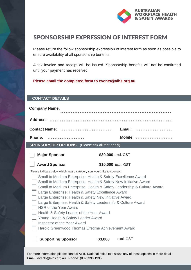

### SPONSORSHIP EXPRESSION OF INTEREST FORM

Please return the follow sponsorship expression of interest form as soon as possible to ensure availability of all sponsorship benefits.

A tax invoice and receipt will be issued. Sponsorship benefits will not be confirmed until your payment has received.

#### **Please email the completed form to events@aihs.org.au**

#### **CONTACT DETAILS**

| <b>Company Name:</b>                                                                                                                                                                                                                                                                                                                                                                                                                                                                                                                                                                                                                                                                                                            |                    |  |
|---------------------------------------------------------------------------------------------------------------------------------------------------------------------------------------------------------------------------------------------------------------------------------------------------------------------------------------------------------------------------------------------------------------------------------------------------------------------------------------------------------------------------------------------------------------------------------------------------------------------------------------------------------------------------------------------------------------------------------|--------------------|--|
|                                                                                                                                                                                                                                                                                                                                                                                                                                                                                                                                                                                                                                                                                                                                 |                    |  |
| <b>Contact Name:</b>                                                                                                                                                                                                                                                                                                                                                                                                                                                                                                                                                                                                                                                                                                            | Email:             |  |
| <b>Phone:</b>                                                                                                                                                                                                                                                                                                                                                                                                                                                                                                                                                                                                                                                                                                                   | Mobile:            |  |
| <b>SPONSORSHIP OPTIONS</b> (Please tick all that apply)                                                                                                                                                                                                                                                                                                                                                                                                                                                                                                                                                                                                                                                                         |                    |  |
| <b>Major Sponsor</b>                                                                                                                                                                                                                                                                                                                                                                                                                                                                                                                                                                                                                                                                                                            | \$30,000 excl. GST |  |
| <b>Award Sponsor</b>                                                                                                                                                                                                                                                                                                                                                                                                                                                                                                                                                                                                                                                                                                            | \$10,000 excl. GST |  |
| Please indicate below which award category you would like to sponsor:<br>Small to Medium Enterprise: Health & Safety Excellence Award<br>Small to Medium Enterprise: Health & Safety New Initiative Award<br>Small to Medium Enterprise: Health & Safety Leadership & Culture Award<br>Large Enterprise: Health & Safety Excellence Award<br>Large Enterprise: Health & Safety New Initiative Award<br>Large Enterprise: Health & Safety Leadership & Culture Award<br><b>HSR of the Year Award</b><br>Health & Safety Leader of the Year Award<br>Young Health & Safety Leader Award<br>Inspector of the Year Award<br>Harold Greenwood Thomas Lifetime Achievement Award<br>excl. GST<br><b>Supporting Sponsor</b><br>\$3,000 |                    |  |
|                                                                                                                                                                                                                                                                                                                                                                                                                                                                                                                                                                                                                                                                                                                                 |                    |  |

For more information please contact AIHS National office to discuss any of these options in more detail. **Email:** events@aihs.org.au **Phone:** (03) 8336 1995